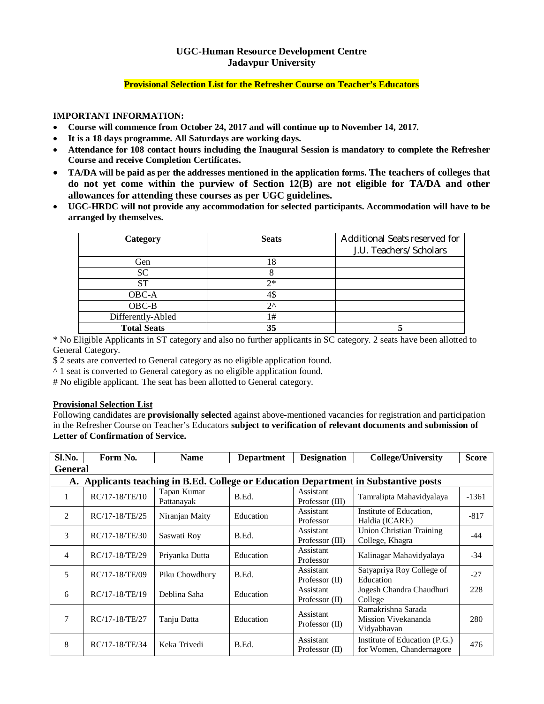# **UGC-Human Resource Development Centre Jadavpur University**

#### **Provisional Selection List for the Refresher Course on Teacher's Educators**

## **IMPORTANT INFORMATION:**

- **Course will commence from October 24, 2017 and will continue up to November 14, 2017.**
- **It is a 18 days programme. All Saturdays are working days.**
- **Attendance for 108 contact hours including the Inaugural Session is mandatory to complete the Refresher Course and receive Completion Certificates.**
- **TA/DA will be paid as per the addresses mentioned in the application forms. The teachers of colleges that do not yet come within the purview of Section 12(B) are not eligible for TA/DA and other allowances for attending these courses as per UGC guidelines.**
- **UGC-HRDC will not provide any accommodation for selected participants. Accommodation will have to be arranged by themselves.**

| Category           | <b>Seats</b> | Additional Seats reserved for<br>J.U. Teachers/Scholars |
|--------------------|--------------|---------------------------------------------------------|
| Gen                | 18           |                                                         |
| <b>SC</b>          |              |                                                         |
| ST                 | つ*           |                                                         |
| OBC-A              |              |                                                         |
| $OBC-B$            | 20           |                                                         |
| Differently-Abled  | 1#           |                                                         |
| <b>Total Seats</b> | 35           |                                                         |

\* No Eligible Applicants in ST category and also no further applicants in SC category. 2 seats have been allotted to General Category.

\$ 2 seats are converted to General category as no eligible application found.

^ 1 seat is converted to General category as no eligible application found.

# No eligible applicant. The seat has been allotted to General category.

## **Provisional Selection List**

Following candidates are **provisionally selected** against above-mentioned vacancies for registration and participation in the Refresher Course on Teacher's Educators **subject to verification of relevant documents and submission of Letter of Confirmation of Service.**

| Sl.No.                                                                               | Form No.         | <b>Name</b>               | <b>Department</b> | <b>Designation</b>            | <b>College/University</b>                                 | <b>Score</b> |
|--------------------------------------------------------------------------------------|------------------|---------------------------|-------------------|-------------------------------|-----------------------------------------------------------|--------------|
| <b>General</b>                                                                       |                  |                           |                   |                               |                                                           |              |
| A. Applicants teaching in B.Ed. College or Education Department in Substantive posts |                  |                           |                   |                               |                                                           |              |
| 1                                                                                    | $RC/17-18/TE/10$ | Tapan Kumar<br>Pattanayak | B.Ed.             | Assistant<br>Professor (III)  | Tamralipta Mahavidyalaya                                  | $-1361$      |
| 2                                                                                    | RC/17-18/TE/25   | Niranjan Maity            | Education         | Assistant<br>Professor        | Institute of Education.<br>Haldia (ICARE)                 | $-817$       |
| 3                                                                                    | RC/17-18/TE/30   | Saswati Roy               | B.Ed.             | Assistant<br>Professor (III)  | <b>Union Christian Training</b><br>College, Khagra        | $-44$        |
| $\overline{4}$                                                                       | RC/17-18/TE/29   | Priyanka Dutta            | Education         | Assistant<br>Professor        | Kalinagar Mahavidyalaya                                   | $-34$        |
| 5                                                                                    | RC/17-18/TE/09   | Piku Chowdhury            | B.Ed.             | Assistant<br>Professor $(II)$ | Satyapriya Roy College of<br>Education                    | $-27$        |
| 6                                                                                    | RC/17-18/TE/19   | Deblina Saha              | Education         | Assistant<br>Professor $(II)$ | Jogesh Chandra Chaudhuri<br>College                       | 228          |
| 7                                                                                    | RC/17-18/TE/27   | Tanju Datta               | Education         | Assistant<br>Professor $(II)$ | Ramakrishna Sarada<br>Mission Vivekananda<br>Vidyabhavan  | 280          |
| 8                                                                                    | RC/17-18/TE/34   | Keka Trivedi              | B.Ed.             | Assistant<br>Professor $(II)$ | Institute of Education (P.G.)<br>for Women, Chandernagore | 476          |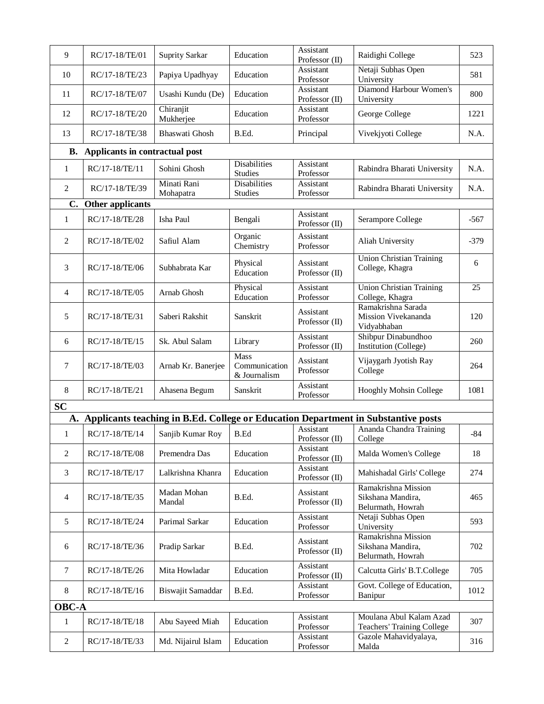| 9                | RC/17-18/TE/01                 | <b>Suprity Sarkar</b>  | Education                                    | Assistant<br>Professor (II)          | Raidighi College                                                                     | 523             |
|------------------|--------------------------------|------------------------|----------------------------------------------|--------------------------------------|--------------------------------------------------------------------------------------|-----------------|
| 10               | RC/17-18/TE/23                 | Papiya Upadhyay        | Education                                    | Assistant<br>Professor               | Netaji Subhas Open<br>University                                                     | 581             |
| 11               | RC/17-18/TE/07                 | Usashi Kundu (De)      | Education                                    | <b>Assistant</b><br>Professor $(II)$ | Diamond Harbour Women's<br>University                                                | 800             |
| 12               | RC/17-18/TE/20                 | Chiranjit<br>Mukherjee | Education                                    | Assistant<br>Professor               | George College                                                                       | 1221            |
| 13               | RC/17-18/TE/38                 | <b>Bhaswati Ghosh</b>  | B.Ed.                                        | Principal                            | Vivekjyoti College                                                                   | N.A.            |
| В.               | Applicants in contractual post |                        |                                              |                                      |                                                                                      |                 |
| 1                | RC/17-18/TE/11                 | Sohini Ghosh           | <b>Disabilities</b>                          | Assistant                            | Rabindra Bharati University                                                          | N.A.            |
| 2                |                                | Minati Rani            | <b>Studies</b><br><b>Disabilities</b>        | Professor<br>Assistant               |                                                                                      | N.A.            |
|                  | RC/17-18/TE/39                 | Mohapatra              | <b>Studies</b>                               | Professor                            | Rabindra Bharati University                                                          |                 |
| C.               | Other applicants               |                        |                                              |                                      |                                                                                      |                 |
| $\mathbf{1}$     | RC/17-18/TE/28                 | Isha Paul              | Bengali                                      | Assistant<br>Professor (II)          | Serampore College                                                                    | $-567$          |
| $\overline{2}$   | RC/17-18/TE/02                 | Safiul Alam            | Organic<br>Chemistry                         | Assistant<br>Professor               | Aliah University                                                                     | $-379$          |
| 3                | RC/17-18/TE/06                 | Subhabrata Kar         | Physical<br>Education                        | Assistant<br>Professor (II)          | <b>Union Christian Training</b><br>College, Khagra                                   | 6               |
| $\overline{4}$   | RC/17-18/TE/05                 | Arnab Ghosh            | Physical<br>Education                        | Assistant<br>Professor               | <b>Union Christian Training</b><br>College, Khagra                                   | $\overline{25}$ |
| 5                | RC/17-18/TE/31                 | Saberi Rakshit         | Sanskrit                                     | Assistant<br>Professor (II)          | Ramakrishna Sarada<br>Mission Vivekananda<br>Vidyabhaban                             | 120             |
| 6                | RC/17-18/TE/15                 | Sk. Abul Salam         | Library                                      | Assistant<br>Professor $(II)$        | Shibpur Dinabundhoo<br>Institution (College)                                         | 260             |
| $\tau$           | RC/17-18/TE/03                 | Arnab Kr. Banerjee     | <b>Mass</b><br>Communication<br>& Journalism | Assistant<br>Professor               | Vijaygarh Jyotish Ray<br>College                                                     | 264             |
| 8                | RC/17-18/TE/21                 | Ahasena Begum          | Sanskrit                                     | Assistant<br>Professor               | Hooghly Mohsin College                                                               | 1081            |
| <b>SC</b>        |                                |                        |                                              |                                      |                                                                                      |                 |
|                  |                                |                        |                                              |                                      | A. Applicants teaching in B.Ed. College or Education Department in Substantive posts |                 |
| $\mathbf{1}$     | RC/17-18/TE/14                 | Sanjib Kumar Roy       | <b>B.Ed</b>                                  | Assistant<br>Professor (II)          | Ananda Chandra Training<br>College                                                   | $-84$           |
| 2                | RC/17-18/TE/08                 | Premendra Das          | Education                                    | Assistant<br>Professor (II)          | Malda Women's College                                                                | 18              |
| 3                | RC/17-18/TE/17                 | Lalkrishna Khanra      | Education                                    | Assistant<br>Professor (II)          | Mahishadal Girls' College                                                            | 274             |
| 4                | RC/17-18/TE/35                 | Madan Mohan<br>Mandal  | B.Ed.                                        | Assistant<br>Professor (II)          | Ramakrishna Mission<br>Sikshana Mandira,<br>Belurmath, Howrah                        | 465             |
| 5                | RC/17-18/TE/24                 | Parimal Sarkar         | Education                                    | Assistant<br>Professor               | Netaji Subhas Open<br>University                                                     | 593             |
| 6                | RC/17-18/TE/36                 | Pradip Sarkar          | B.Ed.                                        | Assistant<br>Professor (II)          | Ramakrishna Mission<br>Sikshana Mandira,<br>Belurmath, Howrah                        | 702             |
| $\tau$           | RC/17-18/TE/26                 | Mita Howladar          | Education                                    | Assistant<br>Professor (II)          | Calcutta Girls' B.T.College                                                          | 705             |
| 8                | RC/17-18/TE/16                 | Biswajit Samaddar      | B.Ed.                                        | Assistant<br>Professor               | Govt. College of Education,<br>Banipur                                               | 1012            |
| <b>OBC-A</b>     |                                |                        |                                              |                                      |                                                                                      |                 |
| $\mathbf{1}$     | RC/17-18/TE/18                 | Abu Sayeed Miah        | Education                                    | Assistant<br>Professor               | Moulana Abul Kalam Azad<br>Teachers' Training College                                | 307             |
| $\boldsymbol{2}$ | RC/17-18/TE/33                 | Md. Nijairul Islam     | Education                                    | Assistant<br>Professor               | Gazole Mahavidyalaya,<br>Malda                                                       | 316             |